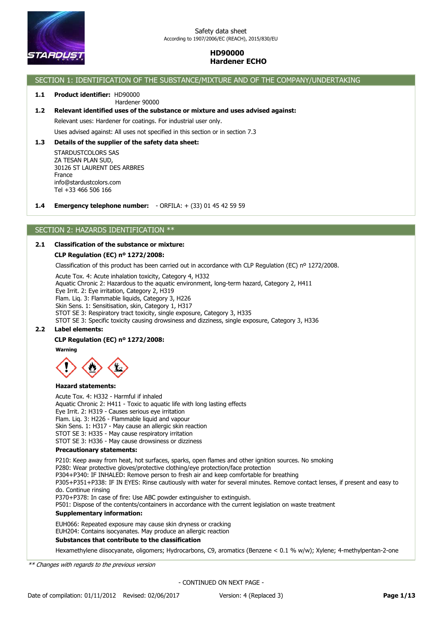

# SECTION 1: IDENTIFICATION OF THE SUBSTANCE/MIXTURE AND OF THE COMPANY/UNDERTAKING

# **1.1 Product identifier:** HD90000

## Hardener 90000

**1.2 Relevant identified uses of the substance or mixture and uses advised against:**

Relevant uses: Hardener for coatings. For industrial user only.

Uses advised against: All uses not specified in this section or in section 7.3

### **1.3 Details of the supplier of the safety data sheet:**

Tel +33 466 506 166 info@stardustcolors.com France 30126 ST LAURENT DES ARBRES ZA TESAN PLAN SUD, STARDUSTCOLORS SAS

**1.4 Emergency telephone number:** - ORFILA: + (33) 01 45 42 59 59

## SECTION 2: HAZARDS IDENTIFICATION \*\*

## **2.1 Classification of the substance or mixture:**

## **CLP Regulation (EC) nº 1272/2008:**

Classification of this product has been carried out in accordance with CLP Regulation (EC) nº 1272/2008.

Acute Tox. 4: Acute inhalation toxicity, Category 4, H332

Aquatic Chronic 2: Hazardous to the aquatic environment, long-term hazard, Category 2, H411

Eye Irrit. 2: Eye irritation, Category 2, H319

Flam. Liq. 3: Flammable liquids, Category 3, H226

Skin Sens. 1: Sensitisation, skin, Category 1, H317

STOT SE 3: Respiratory tract toxicity, single exposure, Category 3, H335

STOT SE 3: Specific toxicity causing drowsiness and dizziness, single exposure, Category 3, H336

# **2.2 Label elements:**

## **CLP Regulation (EC) nº 1272/2008:**

**Warning**



## **Hazard statements:**

Acute Tox. 4: H332 - Harmful if inhaled Aquatic Chronic 2: H411 - Toxic to aquatic life with long lasting effects Eye Irrit. 2: H319 - Causes serious eye irritation Flam. Liq. 3: H226 - Flammable liquid and vapour Skin Sens. 1: H317 - May cause an allergic skin reaction STOT SE 3: H335 - May cause respiratory irritation STOT SE 3: H336 - May cause drowsiness or dizziness

#### **Precautionary statements:**

EUH066: Repeated exposure may cause skin dryness or cracking EUH204: Contains isocyanates. May produce an allergic reaction **Supplementary information:** P210: Keep away from heat, hot surfaces, sparks, open flames and other ignition sources. No smoking P280: Wear protective gloves/protective clothing/eye protection/face protection P304+P340: IF INHALED: Remove person to fresh air and keep comfortable for breathing P305+P351+P338: IF IN EYES: Rinse cautiously with water for several minutes. Remove contact lenses, if present and easy to do. Continue rinsing P370+P378: In case of fire: Use ABC powder extinguisher to extinguish. P501: Dispose of the contents/containers in accordance with the current legislation on waste treatment

#### **Substances that contribute to the classification**

Hexamethylene diisocyanate, oligomers; Hydrocarbons, C9, aromatics (Benzene < 0.1 % w/w); Xylene; 4-methylpentan-2-one

*\*\* Changes with regards to the previous version*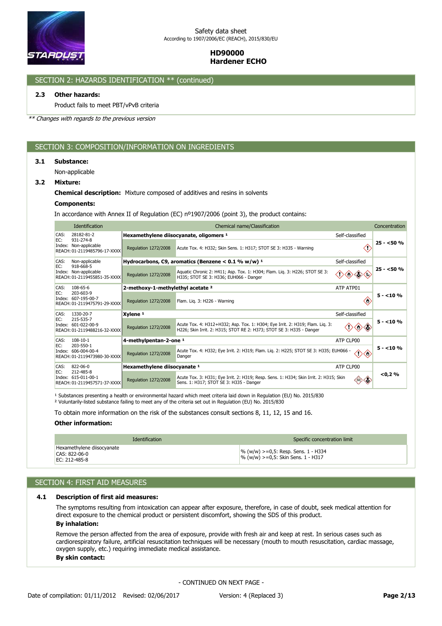

# SECTION 2: HAZARDS IDENTIFICATION \*\* (continued)

# **2.3 Other hazards:**

Product fails to meet PBT/vPvB criteria

*\*\* Changes with regards to the previous version*

# SECTION 3: COMPOSITION/INFORMATION ON INGREDIENTS

#### **3.1 Substance:**

Non-applicable

## **3.2 Mixture:**

#### **Chemical description:** Mixture composed of additives and resins in solvents

# **Components:**

In accordance with Annex II of Regulation (EC) nº1907/2006 (point 3), the product contains:

|      | Identification                                                                |                                              |                                                                                                                                                       | Concentration   |            |  |  |
|------|-------------------------------------------------------------------------------|----------------------------------------------|-------------------------------------------------------------------------------------------------------------------------------------------------------|-----------------|------------|--|--|
| CAS: | 28182-81-2                                                                    |                                              | Hexamethylene diisocyanate, oligomers 1<br>Self-classified                                                                                            |                 |            |  |  |
| EC:  | 931-274-8<br>Index: Non-applicable<br>REACH: 01-2119485796-17-XXXX            | Regulation 1272/2008                         | Acute Tox. 4: H332; Skin Sens. 1: H317; STOT SE 3: H335 - Warning                                                                                     |                 | $25 - 50%$ |  |  |
| CAS: | Non-applicable                                                                |                                              | Hydrocarbons, C9, aromatics (Benzene < $0.1$ % w/w) <sup>1</sup>                                                                                      | Self-classified |            |  |  |
| EC:  | 918-668-5<br>Index: Non-applicable<br>REACH: 01-2119455851-35-XXXX            | Regulation 1272/2008                         | Aquatic Chronic 2: H411; Asp. Tox. 1: H304; Flam. Lig. 3: H226; STOT SE 3:<br>H335; STOT SE 3: H336; EUH066 - Danger                                  |                 | $25 - 50%$ |  |  |
| CAS: | $108 - 65 - 6$                                                                | 2-methoxy-1-methylethyl acetate <sup>2</sup> |                                                                                                                                                       | ATP ATP01       |            |  |  |
| EC:  | 203-603-9<br>Index: 607-195-00-7<br>REACH: 01-2119475791-29-XXXX              | Regulation 1272/2008                         | Flam. Lig. 3: H226 - Warning                                                                                                                          | Œ               | $5 - 10%$  |  |  |
| CAS: | 1330-20-7<br>215-535-7<br>Index: 601-022-00-9<br>REACH: 01-2119488216-32-XXXX | Xylene <sup>1</sup>                          |                                                                                                                                                       | Self-classified |            |  |  |
| EC:  |                                                                               | Regulation 1272/2008                         | Acute Tox. 4: H312+H332; Asp. Tox. 1: H304; Eye Irrit. 2: H319; Flam. Lig. 3:<br>H226; Skin Irrit. 2: H315; STOT RE 2: H373; STOT SE 3: H335 - Danger |                 | $5 - 10%$  |  |  |
| CAS: | $108 - 10 - 1$                                                                | 4-methylpentan-2-one <sup>1</sup>            |                                                                                                                                                       | ATP CLP00       |            |  |  |
| EC:  | 203-550-1<br>Index: 606-004-00-4<br>REACH: 01-2119473980-30-XXXX              | Regulation 1272/2008                         | Acute Tox. 4: H332; Eye Irrit. 2: H319; Flam. Liq. 2: H225; STOT SE 3: H335; EUH066 - 1<br>Danger                                                     |                 | $5 - 10%$  |  |  |
| CAS: | $822 - 06 - 0$                                                                | Hexamethylene diisocyanate 1                 |                                                                                                                                                       | ATP CLP00       |            |  |  |
| EC:  | 212-485-8<br>Index: 615-011-00-1<br>REACH: 01-2119457571-37-XXXX              | Regulation 1272/2008                         | Acute Tox. 3: H331; Eye Irrit. 2: H319; Resp. Sens. 1: H334; Skin Irrit. 2: H315; Skin<br>Sens. 1: H317; STOT SE 3: H335 - Danger                     |                 | < 0.2 %    |  |  |

<sup>1</sup> Substances presenting a health or environmental hazard which meet criteria laid down in Regulation (EU) No. 2015/830 ² Voluntarily-listed substance failing to meet any of the criteria set out in Regulation (EU) No. 2015/830

To obtain more information on the risk of the substances consult sections 8, 11, 12, 15 and 16.

## **Other information:**

| <b>Identification</b>                                        |  | Specific concentration limit                                                                        |  |
|--------------------------------------------------------------|--|-----------------------------------------------------------------------------------------------------|--|
| Hexamethylene diisocyanate<br>CAS: 822-06-0<br>EC: 212-485-8 |  | $\frac{1}{6}$ (w/w) >=0,5: Resp. Sens. 1 - H334<br>$\frac{1}{2}$ % (w/w) >=0,5: Skin Sens. 1 - H317 |  |

# SECTION 4: FIRST AID MEASURES

#### **4.1 Description of first aid measures:**

**By inhalation:** The symptoms resulting from intoxication can appear after exposure, therefore, in case of doubt, seek medical attention for direct exposure to the chemical product or persistent discomfort, showing the SDS of this product.

**By skin contact:** Remove the person affected from the area of exposure, provide with fresh air and keep at rest. In serious cases such as cardiorespiratory failure, artificial resuscitation techniques will be necessary (mouth to mouth resuscitation, cardiac massage, oxygen supply, etc.) requiring immediate medical assistance.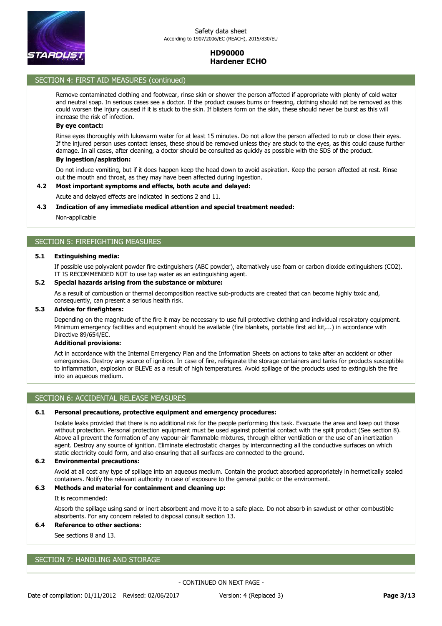

# SECTION 4: FIRST AID MEASURES (continued) **By skin contact:**

Remove contaminated clothing and footwear, rinse skin or shower the person affected if appropriate with plenty of cold water and neutral soap. In serious cases see a doctor. If the product causes burns or freezing, clothing should not be removed as this could worsen the injury caused if it is stuck to the skin. If blisters form on the skin, these should never be burst as this will increase the risk of infection.

### **By eye contact:**

Rinse eyes thoroughly with lukewarm water for at least 15 minutes. Do not allow the person affected to rub or close their eyes. If the injured person uses contact lenses, these should be removed unless they are stuck to the eyes, as this could cause further damage. In all cases, after cleaning, a doctor should be consulted as quickly as possible with the SDS of the product.

# **By ingestion/aspiration:**

Do not induce vomiting, but if it does happen keep the head down to avoid aspiration. Keep the person affected at rest. Rinse out the mouth and throat, as they may have been affected during ingestion.

## **4.2 Most important symptoms and effects, both acute and delayed:**

Acute and delayed effects are indicated in sections 2 and 11.

#### **4.3 Indication of any immediate medical attention and special treatment needed:**

Non-applicable

# SECTION 5: FIREFIGHTING MEASURES

#### **5.1 Extinguishing media:**

If possible use polyvalent powder fire extinguishers (ABC powder), alternatively use foam or carbon dioxide extinguishers (CO2). IT IS RECOMMENDED NOT to use tap water as an extinguishing agent.

# **5.2 Special hazards arising from the substance or mixture:**

As a result of combustion or thermal decomposition reactive sub-products are created that can become highly toxic and, consequently, can present a serious health risk.

### **5.3 Advice for firefighters:**

Depending on the magnitude of the fire it may be necessary to use full protective clothing and individual respiratory equipment. Minimum emergency facilities and equipment should be available (fire blankets, portable first aid kit,...) in accordance with Directive 89/654/EC.

# **Additional provisions:**

Act in accordance with the Internal Emergency Plan and the Information Sheets on actions to take after an accident or other emergencies. Destroy any source of ignition. In case of fire, refrigerate the storage containers and tanks for products susceptible to inflammation, explosion or BLEVE as a result of high temperatures. Avoid spillage of the products used to extinguish the fire into an aqueous medium.

## SECTION 6: ACCIDENTAL RELEASE MEASURES

#### **6.1 Personal precautions, protective equipment and emergency procedures:**

Isolate leaks provided that there is no additional risk for the people performing this task. Evacuate the area and keep out those without protection. Personal protection equipment must be used against potential contact with the spilt product (See section 8). Above all prevent the formation of any vapour-air flammable mixtures, through either ventilation or the use of an inertization agent. Destroy any source of ignition. Eliminate electrostatic charges by interconnecting all the conductive surfaces on which static electricity could form, and also ensuring that all surfaces are connected to the ground.

#### **6.2 Environmental precautions:**

Avoid at all cost any type of spillage into an aqueous medium. Contain the product absorbed appropriately in hermetically sealed containers. Notify the relevant authority in case of exposure to the general public or the environment.

## **6.3 Methods and material for containment and cleaning up:**

It is recommended:

Absorb the spillage using sand or inert absorbent and move it to a safe place. Do not absorb in sawdust or other combustible absorbents. For any concern related to disposal consult section 13.

# **6.4 Reference to other sections:**

See sections 8 and 13.

# SECTION 7: HANDLING AND STORAGE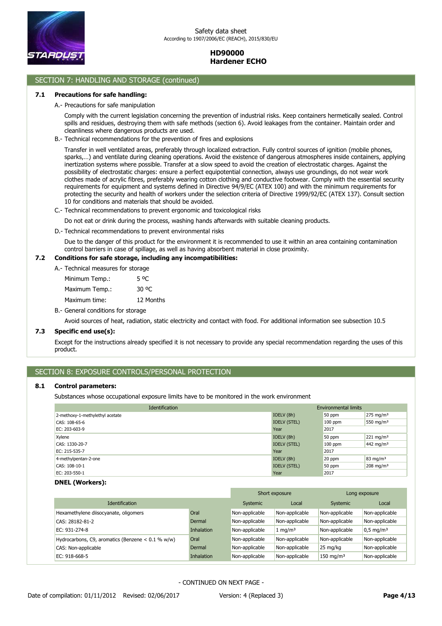

# SECTION 7: HANDLING AND STORAGE (continued)

### **7.1 Precautions for safe handling:**

A.- Precautions for safe manipulation

Comply with the current legislation concerning the prevention of industrial risks. Keep containers hermetically sealed. Control spills and residues, destroying them with safe methods (section 6). Avoid leakages from the container. Maintain order and cleanliness where dangerous products are used.

B.- Technical recommendations for the prevention of fires and explosions

Transfer in well ventilated areas, preferably through localized extraction. Fully control sources of ignition (mobile phones, sparks,…) and ventilate during cleaning operations. Avoid the existence of dangerous atmospheres inside containers, applying inertization systems where possible. Transfer at a slow speed to avoid the creation of electrostatic charges. Against the possibility of electrostatic charges: ensure a perfect equipotential connection, always use groundings, do not wear work clothes made of acrylic fibres, preferably wearing cotton clothing and conductive footwear. Comply with the essential security requirements for equipment and systems defined in Directive 94/9/EC (ATEX 100) and with the minimum requirements for protecting the security and health of workers under the selection criteria of Directive 1999/92/EC (ATEX 137). Consult section 10 for conditions and materials that should be avoided.

C.- Technical recommendations to prevent ergonomic and toxicological risks

Do not eat or drink during the process, washing hands afterwards with suitable cleaning products.

D.- Technical recommendations to prevent environmental risks

Due to the danger of this product for the environment it is recommended to use it within an area containing contamination control barriers in case of spillage, as well as having absorbent material in close proximity.

#### **7.2 Conditions for safe storage, including any incompatibilities:**

Minimum Temp.: 5 °C A.- Technical measures for storage

Maximum time: 12 Months Maximum Temp.: 30 °C

B.- General conditions for storage

Avoid sources of heat, radiation, static electricity and contact with food. For additional information see subsection 10.5

## **7.3 Specific end use(s):**

Except for the instructions already specified it is not necessary to provide any special recommendation regarding the uses of this product.

# SECTION 8: EXPOSURE CONTROLS/PERSONAL PROTECTION

#### **8.1 Control parameters:**

Substances whose occupational exposure limits have to be monitored in the work environment

| <b>Identification</b>           | <b>Environmental limits</b> |           |                         |  |
|---------------------------------|-----------------------------|-----------|-------------------------|--|
| 2-methoxy-1-methylethyl acetate | IOELV (8h)                  | 50 ppm    | $275 \text{ mg/m}^3$    |  |
| CAS: 108-65-6                   | <b>IOELV (STEL)</b>         | $100$ ppm | 550 mg/m <sup>3</sup>   |  |
| EC: 203-603-9                   | Year                        | 2017      |                         |  |
| Xylene                          | IOELV (8h)                  | 50 ppm    | $221 \text{ mg/m}^3$    |  |
| CAS: 1330-20-7                  | <b>IOELV (STEL)</b>         | $100$ ppm | 442 mg/m <sup>3</sup>   |  |
| EC: 215-535-7                   | Year                        | 2017      |                         |  |
| 4-methylpentan-2-one            | IOELV (8h)                  | 20 ppm    | $83 \text{ mg/m}^3$     |  |
| CAS: 108-10-1                   | <b>IOELV (STEL)</b>         | 50 ppm    | $208$ mg/m <sup>3</sup> |  |
| EC: 203-550-1                   | Year                        | 2017      |                         |  |

# **DNEL (Workers):**

|                                                     |                   | Short exposure |                    | Long exposure        |                         |
|-----------------------------------------------------|-------------------|----------------|--------------------|----------------------|-------------------------|
| <b>Identification</b>                               |                   | Systemic       | Local              | Systemic             | Local                   |
| Hexamethylene diisocyanate, oligomers               | Oral              | Non-applicable | Non-applicable     | Non-applicable       | Non-applicable          |
| CAS: 28182-81-2                                     | Dermal            | Non-applicable | Non-applicable     | Non-applicable       | Non-applicable          |
| EC: 931-274-8                                       | <b>Inhalation</b> | Non-applicable | $1 \text{ mg/m}^3$ | Non-applicable       | $0.5$ mg/m <sup>3</sup> |
| Hydrocarbons, C9, aromatics (Benzene $< 0.1$ % w/w) | Oral              | Non-applicable | Non-applicable     | Non-applicable       | Non-applicable          |
| CAS: Non-applicable                                 | Dermal            | Non-applicable | Non-applicable     | $25 \text{ mg/kg}$   | Non-applicable          |
| EC: 918-668-5                                       | <b>Inhalation</b> | Non-applicable | Non-applicable     | $150 \text{ mg/m}^3$ | Non-applicable          |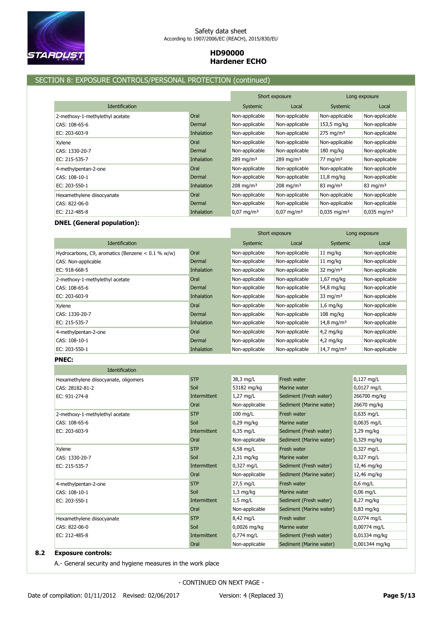

# SECTION 8: EXPOSURE CONTROLS/PERSONAL PROTECTION (continued)

|                                 |                   | Short exposure        |                         | Long exposure             |                           |
|---------------------------------|-------------------|-----------------------|-------------------------|---------------------------|---------------------------|
| <b>Identification</b>           |                   | Systemic              | Local                   | Systemic                  | Local                     |
| 2-methoxy-1-methylethyl acetate | Oral              | Non-applicable        | Non-applicable          | Non-applicable            | Non-applicable            |
| CAS: 108-65-6                   | Dermal            | Non-applicable        | Non-applicable          | 153,5 mg/kg               | Non-applicable            |
| EC: $203 - 603 - 9$             | <b>Inhalation</b> | Non-applicable        | Non-applicable          | $275 \text{ mg/m}^3$      | Non-applicable            |
| Xylene                          | Oral              | Non-applicable        | Non-applicable          | Non-applicable            | Non-applicable            |
| CAS: 1330-20-7                  | Dermal            | Non-applicable        | Non-applicable          | $180 \text{ mg/kg}$       | Non-applicable            |
| EC: 215-535-7                   | <b>Inhalation</b> | 289 mg/m $3$          | $289 \,\mathrm{mg/m^3}$ | 77 mg/m $3$               | Non-applicable            |
| 4-methylpentan-2-one            | Oral              | Non-applicable        | Non-applicable          | Non-applicable            | Non-applicable            |
| CAS: 108-10-1                   | Dermal            | Non-applicable        | Non-applicable          | $11,8$ mg/kg              | Non-applicable            |
| EC: 203-550-1                   | <b>Inhalation</b> | $208 \text{ mg/m}^3$  | $208 \text{ mg/m}^3$    | $83 \text{ mg/m}^3$       | $83 \text{ mg/m}^3$       |
| Hexamethylene diisocyanate      | Oral              | Non-applicable        | Non-applicable          | Non-applicable            | Non-applicable            |
| CAS: 822-06-0                   | Dermal            | Non-applicable        | Non-applicable          | Non-applicable            | Non-applicable            |
| EC: 212-485-8                   | Inhalation        | $0.07 \text{ mg/m}^3$ | $0.07 \text{ mg/m}^3$   | $0,035 \,\mathrm{mg/m^3}$ | $0.035$ mg/m <sup>3</sup> |

# **DNEL (General population):**

|                                                     |                   | Short exposure |                | Long exposure          |                |
|-----------------------------------------------------|-------------------|----------------|----------------|------------------------|----------------|
| <b>Identification</b>                               |                   | Systemic       | Local          | <b>Systemic</b>        | Local          |
| Hydrocarbons, C9, aromatics (Benzene $< 0.1$ % w/w) | Oral              | Non-applicable | Non-applicable | $11 \text{ mg/kg}$     | Non-applicable |
| CAS: Non-applicable                                 | Dermal            | Non-applicable | Non-applicable | $11 \text{ mg/kg}$     | Non-applicable |
| EC: 918-668-5                                       | <b>Inhalation</b> | Non-applicable | Non-applicable | 32 mg/m <sup>3</sup>   | Non-applicable |
| 2-methoxy-1-methylethyl acetate                     | Oral              | Non-applicable | Non-applicable | $1,67$ mg/kg           | Non-applicable |
| CAS: 108-65-6                                       | Dermal            | Non-applicable | Non-applicable | 54,8 mg/kg             | Non-applicable |
| EC: 203-603-9                                       | <b>Inhalation</b> | Non-applicable | Non-applicable | 33 mg/m <sup>3</sup>   | Non-applicable |
| Xylene                                              | Oral              | Non-applicable | Non-applicable | $1.6$ mg/kg            | Non-applicable |
| CAS: 1330-20-7                                      | Dermal            | Non-applicable | Non-applicable | $108 \text{ mg/kg}$    | Non-applicable |
| EC: 215-535-7                                       | <b>Inhalation</b> | Non-applicable | Non-applicable | 14,8 mg/m <sup>3</sup> | Non-applicable |
| 4-methylpentan-2-one                                | Oral              | Non-applicable | Non-applicable | $4,2$ mg/kg            | Non-applicable |
| CAS: 108-10-1                                       | Dermal            | Non-applicable | Non-applicable | $4,2$ mg/kg            | Non-applicable |
| EC: 203-550-1                                       | <b>Inhalation</b> | Non-applicable | Non-applicable | 14,7 mg/m <sup>3</sup> | Non-applicable |

# **PNEC:**

| Identification                        |              |                      |                         |                |
|---------------------------------------|--------------|----------------------|-------------------------|----------------|
| Hexamethylene diisocyanate, oligomers | <b>STP</b>   | 38,3 mg/L            | Fresh water             | $0,127$ mg/L   |
| CAS: 28182-81-2                       | Soil         | 53182 mg/kg          | Marine water            | 0,0127 mg/L    |
| EC: 931-274-8                         | Intermittent | $1,27$ mg/L          | Sediment (Fresh water)  | 266700 mg/kg   |
|                                       | Oral         | Non-applicable       | Sediment (Marine water) | 26670 mg/kg    |
| 2-methoxy-1-methylethyl acetate       | <b>STP</b>   | $100$ mg/L           | Fresh water             | $0,635$ mg/L   |
| CAS: 108-65-6                         | Soil         | $0,29$ mg/kg         | Marine water            | 0,0635 mg/L    |
| EC: 203-603-9                         | Intermittent | $6,35$ mg/L          | Sediment (Fresh water)  | 3,29 mg/kg     |
|                                       | Oral         | Non-applicable       | Sediment (Marine water) | $0,329$ mg/kg  |
| Xylene                                | <b>STP</b>   | $6,58$ mg/L          | Fresh water             | 0,327 mg/L     |
| CAS: 1330-20-7                        | Soil         | 2,31 mg/kg           | Marine water            | 0,327 mg/L     |
| EC: 215-535-7                         | Intermittent | $0,327 \text{ mg/L}$ | Sediment (Fresh water)  | 12,46 mg/kg    |
|                                       | Oral         | Non-applicable       | Sediment (Marine water) | 12,46 mg/kg    |
| 4-methylpentan-2-one                  | <b>STP</b>   | 27,5 mg/L            | Fresh water             | $0,6$ mg/L     |
| CAS: 108-10-1                         | Soil         | $1,3$ mg/kg          | Marine water            | $0.06$ mg/L    |
| EC: 203-550-1                         | Intermittent | $1,5$ mg/L           | Sediment (Fresh water)  | 8,27 mg/kg     |
|                                       | Oral         | Non-applicable       | Sediment (Marine water) | $0,83$ mg/kg   |
| Hexamethylene diisocyanate            | <b>STP</b>   | 8,42 mg/L            | Fresh water             | 0,0774 mg/L    |
| CAS: 822-06-0                         | Soil         | 0,0026 mg/kg         | Marine water            | 0,00774 mg/L   |
| EC: 212-485-8                         | Intermittent | 0,774 mg/L           | Sediment (Fresh water)  | 0,01334 mg/kg  |
|                                       | Oral         | Non-applicable       | Sediment (Marine water) | 0,001344 mg/kg |

# **8.2 Exposure controls:**

A.- General security and hygiene measures in the work place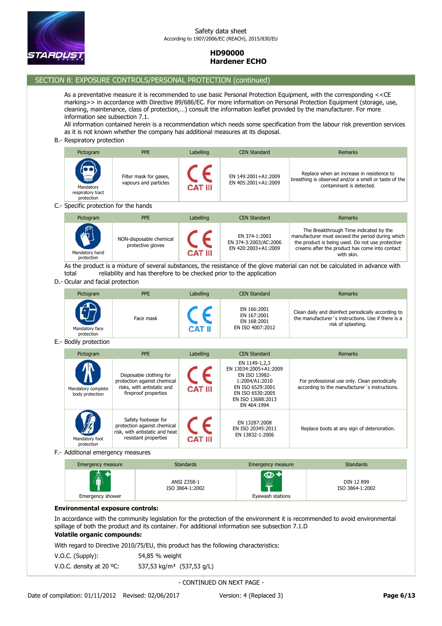

# SECTION 8: EXPOSURE CONTROLS/PERSONAL PROTECTION (continued)

As a preventative measure it is recommended to use basic Personal Protection Equipment, with the corresponding <<CE marking>> in accordance with Directive 89/686/EC. For more information on Personal Protection Equipment (storage, use, cleaning, maintenance, class of protection,…) consult the information leaflet provided by the manufacturer. For more information see subsection 7.1.

All information contained herein is a recommendation which needs some specification from the labour risk prevention services as it is not known whether the company has additional measures at its disposal.

#### B.- Respiratory protection

| Pictogram                                                    | <b>PPE</b>                                      | Labelling      | <b>CEN Standard</b>                        | Remarks                                                                                                                       |
|--------------------------------------------------------------|-------------------------------------------------|----------------|--------------------------------------------|-------------------------------------------------------------------------------------------------------------------------------|
| <b>Allen</b><br>Mandatory<br>respiratory tract<br>protection | Filter mask for gases,<br>vapours and particles | <b>CAT III</b> | EN 149:2001+A1:2009<br>EN 405:2001+A1:2009 | Replace when an increase in resistence to<br>breathing is observed and/or a smell or taste of the<br>contaminant is detected. |
| Specific protection for the hands                            |                                                 |                |                                            |                                                                                                                               |

C.- Specific protection for the hands

| Pictogram                    | <b>PPE</b>                                   | Labelling | <b>CEN Standard</b>                                           | Remarks                                                                                                                                                                                                        |
|------------------------------|----------------------------------------------|-----------|---------------------------------------------------------------|----------------------------------------------------------------------------------------------------------------------------------------------------------------------------------------------------------------|
| Mandatory hand<br>protection | NON-disposable chemical<br>protective gloves | CAT III   | EN 374-1:2003<br>EN 374-3:2003/AC:2006<br>EN 420:2003+A1:2009 | The Breakthrough Time indicated by the<br>manufacturer must exceed the period during which<br>the product is being used. Do not use protective<br>creams after the product has come into contact<br>with skin. |

As the product is a mixture of several substances, the resistance of the glove material can not be calculated in advance with total reliability and has therefore to be checked prior to the application

D.- Ocular and facial protection

| Pictogram                    | <b>PPE</b> | Labelling | <b>CEN Standard</b>                                           | <b>Remarks</b>                                                                                                                  |
|------------------------------|------------|-----------|---------------------------------------------------------------|---------------------------------------------------------------------------------------------------------------------------------|
| Mandatory face<br>protection | Face mask  | CAT II    | EN 166:2001<br>EN 167:2001<br>EN 168:2001<br>EN ISO 4007:2012 | Clean daily and disinfect periodically according to<br>the manufacturer's instructions. Use if there is a<br>risk of splashing. |

E.- Bodily protection

| Pictogram                             | <b>PPE</b>                                                                                                   | Labelling      | <b>CEN Standard</b>                                                                                                                                   | <b>Remarks</b>                                                                                 |
|---------------------------------------|--------------------------------------------------------------------------------------------------------------|----------------|-------------------------------------------------------------------------------------------------------------------------------------------------------|------------------------------------------------------------------------------------------------|
| Mandatory complete<br>body protection | Disposable clothing for<br>protection against chemical<br>risks, with antistatic and<br>fireproof properties | <b>CAT III</b> | EN 1149-1,2,3<br>EN 13034:2005+A1:2009<br>EN ISO 13982-<br>1:2004/A1:2010<br>EN ISO 6529:2001<br>EN ISO 6530:2005<br>EN ISO 13688:2013<br>EN 464:1994 | For professional use only. Clean periodically<br>according to the manufacturer's instructions. |
| Mandatory foot<br>protection          | Safety footwear for<br>protection against chemical<br>risk, with antistatic and heat<br>resistant properties | <b>CAT III</b> | EN 13287:2008<br>EN ISO 20345:2011<br>EN 13832-1:2006                                                                                                 | Replace boots at any sign of deterioration.                                                    |

F.- Additional emergency measures

| Emergency measure | <b>Standards</b>               | Emergency measure | <b>Standards</b>              |
|-------------------|--------------------------------|-------------------|-------------------------------|
| 疊.                | ANSI Z358-1<br>ISO 3864-1:2002 | 導                 | DIN 12 899<br>ISO 3864-1:2002 |
| Emergency shower  |                                | Eyewash stations  |                               |

### **Environmental exposure controls:**

In accordance with the community legislation for the protection of the environment it is recommended to avoid environmental spillage of both the product and its container. For additional information see subsection 7.1.D

# **Volatile organic compounds:**

With regard to Directive 2010/75/EU, this product has the following characteristics:

| $V.O.C.$ (Supply):                 | 54,85 % weight                        |
|------------------------------------|---------------------------------------|
| V.O.C. density at 20 $^{\circ}$ C: | 537,53 kg/m <sup>3</sup> (537,53 g/L) |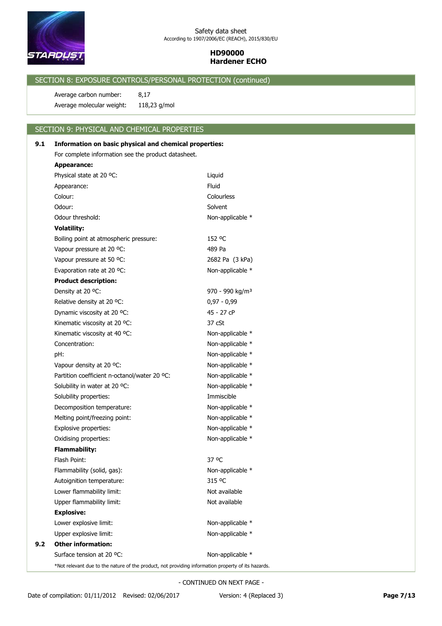

# SECTION 8: EXPOSURE CONTROLS/PERSONAL PROTECTION (continued)

Average molecular weight: 118,23 g/mol Average carbon number: 8,17

## SECTION 9: PHYSICAL AND CHEMICAL PROPERTIES

# Flash Point: 37 °C **Flammability:** Oxidising properties: Non-applicable \* Explosive properties: Non-applicable \* Melting point/freezing point: Non-applicable \* Decomposition temperature: Non-applicable \* Solubility properties: **Immiscible** Solubility in water at 20 °C: Non-applicable \* Partition coefficient n-octanol/water 20 °C: Non-applicable \* Vapour density at 20 °C: Non-applicable \* pH:  $D$ Concentration: Non-applicable \* Kinematic viscosity at 40 °C: Non-applicable \* Kinematic viscosity at 20 °C: 37 cSt Dynamic viscosity at 20 °C: 45 - 27 cP Relative density at 20 °C:  $0.97 - 0.99$ Density at 20 °C: 970 - 990 kg/m<sup>3</sup> **Product description:** Evaporation rate at 20 °C: Non-applicable \* Vapour pressure at 50 °C: 2682 Pa (3 kPa) Vapour pressure at 20 °C: 489 Pa Boiling point at atmospheric pressure: 152 °C **Volatility:** Odour threshold:  $\blacksquare$  Non-applicable \* Odour: Solvent Colour: Colourless Appearance: Fluid Physical state at 20 °C: Liquid **Appearance:** For complete information see the product datasheet. **9.1 Information on basic physical and chemical properties:**

Surface tension at 20 °C: Non-applicable \* **9.2 Other information:** Upper explosive limit: Non-applicable \* Lower explosive limit: Non-applicable \* Upper flammability limit: Vertical Australian Mot available Lower flammability limit: Not available Autoignition temperature: 315 °C Flammability (solid, gas): Non-applicable \*

\*Not relevant due to the nature of the product, not providing information property of its hazards.

- CONTINUED ON NEXT PAGE -

**Explosive:**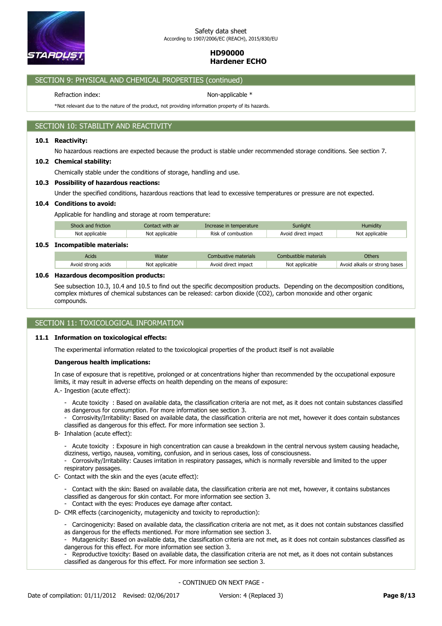

# SECTION 9: PHYSICAL AND CHEMICAL PROPERTIES (continued)

Refraction index: Non-applicable \*

\*Not relevant due to the nature of the product, not providing information property of its hazards.

# SECTION 10: STABILITY AND REACTIVITY

#### **10.1 Reactivity:**

No hazardous reactions are expected because the product is stable under recommended storage conditions. See section 7.

#### **10.2 Chemical stability:**

Chemically stable under the conditions of storage, handling and use.

### **10.3 Possibility of hazardous reactions:**

Under the specified conditions, hazardous reactions that lead to excessive temperatures or pressure are not expected.

#### **10.4 Conditions to avoid:**

Applicable for handling and storage at room temperature:

| Shock and friction | Contact with air | Increase in temperature | Sunlight            | Humidity       |
|--------------------|------------------|-------------------------|---------------------|----------------|
| Not applicable     | Not applicable   | Risk of combustion      | Avoid direct impact | Not applicable |
|                    |                  |                         |                     |                |

# **10.5 Incompatible materials:**

| Not<br>impacu<br>bases<br>NI∩t<br><b>ann</b><br>: applicable<br>Avoid<br>cable.<br>acıds<br>dır | Nater | nais | thers) |
|-------------------------------------------------------------------------------------------------|-------|------|--------|
|                                                                                                 |       |      |        |

### **10.6 Hazardous decomposition products:**

See subsection 10.3, 10.4 and 10.5 to find out the specific decomposition products. Depending on the decomposition conditions, complex mixtures of chemical substances can be released: carbon dioxide (CO2), carbon monoxide and other organic compounds.

# SECTION 11: TOXICOLOGICAL INFORMATION

# **11.1 Information on toxicological effects:**

The experimental information related to the toxicological properties of the product itself is not available

### **Dangerous health implications:**

In case of exposure that is repetitive, prolonged or at concentrations higher than recommended by the occupational exposure limits, it may result in adverse effects on health depending on the means of exposure:

- A.- Ingestion (acute effect):
	- Acute toxicity : Based on available data, the classification criteria are not met, as it does not contain substances classified as dangerous for consumption. For more information see section 3.
	- Corrosivity/Irritability: Based on available data, the classification criteria are not met, however it does contain substances classified as dangerous for this effect. For more information see section 3.
- B- Inhalation (acute effect):

- Acute toxicity : Exposure in high concentration can cause a breakdown in the central nervous system causing headache, dizziness, vertigo, nausea, vomiting, confusion, and in serious cases, loss of consciousness.

- Corrosivity/Irritability: Causes irritation in respiratory passages, which is normally reversible and limited to the upper respiratory passages.

- C- Contact with the skin and the eyes (acute effect):
	- Contact with the skin: Based on available data, the classification criteria are not met, however, it contains substances classified as dangerous for skin contact. For more information see section 3.
	- Contact with the eyes: Produces eye damage after contact.
- D- CMR effects (carcinogenicity, mutagenicity and toxicity to reproduction):
	- Carcinogenicity: Based on available data, the classification criteria are not met, as it does not contain substances classified as dangerous for the effects mentioned. For more information see section 3.
	- Mutagenicity: Based on available data, the classification criteria are not met, as it does not contain substances classified as dangerous for this effect. For more information see section 3.
	- Reproductive toxicity: Based on available data, the classification criteria are not met, as it does not contain substances classified as dangerous for this effect. For more information see section 3.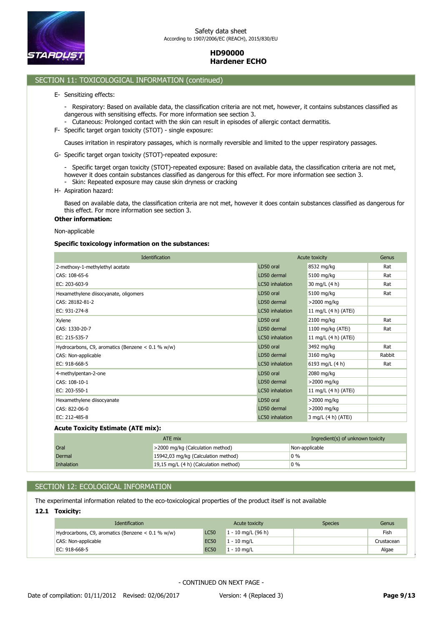

#### **HD90000 Hardener ECHO** as dangerous for the effects mentioned. For more information see section 3.  $B = C$ ased on available data, the classification criteria are not meth, as it does not contain substances classified are not contain substances classified are not contain substances classified as it does not contain substa e available data, the classification criteria are not method on available data, the contain substances contain substances contain substances contain substances contain substances contain substances contain substances conta

#### - Reproductive toxicological information (continued) which are not method on available data, the classification criteria are not method on available data, the contain substances not method on a situation substances of the classified as dangerous for this effect. For  $\frac{1}{2}$

- E- Sensitizing effects:
	- Respiratory: Based on available data, the classification criteria are not met, however, it contains substances classified as dangerous with sensitising effects. For more information see section 3.
	- Cutaneous: Prolonged contact with the skin can result in episodes of allergic contact dermatitis.
- F- Specific target organ toxicity (STOT) single exposure:

Causes irritation in respiratory passages, which is normally reversible and limited to the upper respiratory passages.

G- Specific target organ toxicity (STOT)-repeated exposure:

- Specific target organ toxicity (STOT)-repeated exposure: Based on available data, the classification criteria are not met, however it does contain substances classified as dangerous for this effect. For more information see section 3. - Skin: Repeated exposure may cause skin dryness or cracking

H- Aspiration hazard:

Based on available data, the classification criteria are not met, however it does contain substances classified as dangerous for this effect. For more information see section 3.

# **Other information:**

Non-applicable

### **Specific toxicology information on the substances:**

|                 |                      | Genus          |
|-----------------|----------------------|----------------|
| LD50 oral       | 8532 mg/kg           | Rat            |
| LD50 dermal     | 5100 mg/kg           | Rat            |
| LC50 inhalation | 30 mg/L (4 h)        | Rat            |
| LD50 oral       | 5100 mg/kg           | Rat            |
| LD50 dermal     | $>$ 2000 mg/kg       |                |
| LC50 inhalation | 11 mg/L (4 h) (ATEi) |                |
| LD50 oral       | 2100 mg/kg           | Rat            |
| LD50 dermal     | 1100 mg/kg (ATEi)    | Rat            |
| LC50 inhalation | 11 mg/L (4 h) (ATEi) |                |
| LD50 oral       | 3492 mg/kg           | Rat            |
| LD50 dermal     | 3160 mg/kg           | Rabbit         |
| LC50 inhalation | 6193 mg/L (4 h)      | Rat            |
| LD50 oral       | 2080 mg/kg           |                |
| LD50 dermal     | $>$ 2000 mg/kg       |                |
| LC50 inhalation | 11 mg/L (4 h) (ATEi) |                |
| LD50 oral       | >2000 mg/kg          |                |
| LD50 dermal     | >2000 mg/kg          |                |
| LC50 inhalation | 3 mg/L (4 h) (ATEi)  |                |
|                 |                      | Acute toxicity |

#### **Acute Toxicity Estimate (ATE mix):**

|            | ATE mix                               | Ingredient(s) of unknown toxicity |
|------------|---------------------------------------|-----------------------------------|
| Oral       | >2000 mg/kg (Calculation method)      | Non-applicable                    |
| Dermal     | 15942,03 mg/kg (Calculation method)   | $0\%$                             |
| Inhalation | 19,15 mg/L (4 h) (Calculation method) | $0\%$                             |

# SECTION 12: ECOLOGICAL INFORMATION

The experimental information related to the eco-toxicological properties of the product itself is not available

# **12.1 Toxicity:**

| <b>Identification</b>                               |             | Acute toxicity       | <b>Species</b> | Genus      |
|-----------------------------------------------------|-------------|----------------------|----------------|------------|
| Hydrocarbons, C9, aromatics (Benzene $< 0.1$ % w/w) | <b>LC50</b> | $1 - 10$ mg/L (96 h) |                | Fish       |
| CAS: Non-applicable                                 | <b>EC50</b> | $1 - 10$ mg/L        |                | Crustacean |
| EC: 918-668-5                                       | <b>EC50</b> | $1 - 10$ ma/L        |                | Algae      |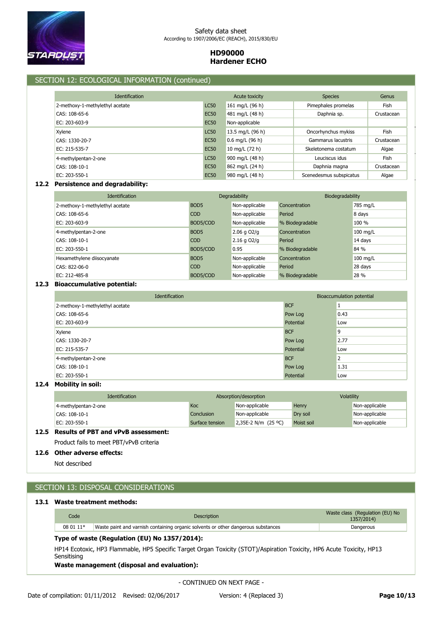

# SECTION 12: ECOLOGICAL INFORMATION (continued)

| <b>Identification</b>           |             | Acute toxicity    | <b>Species</b>          | Genus      |
|---------------------------------|-------------|-------------------|-------------------------|------------|
| 2-methoxy-1-methylethyl acetate | <b>LC50</b> | 161 mg/L (96 h)   | Pimephales promelas     | Fish       |
| CAS: 108-65-6                   | <b>EC50</b> | 481 mg/L (48 h)   | Daphnia sp.             | Crustacean |
| EC: 203-603-9                   | <b>EC50</b> | Non-applicable    |                         |            |
| Xylene                          | <b>LC50</b> | 13.5 mg/L (96 h)  | Oncorhynchus mykiss     | Fish       |
| CAS: 1330-20-7                  | <b>EC50</b> | $0.6$ mg/L (96 h) | Gammarus lacustris      | Crustacean |
| EC: 215-535-7                   | <b>EC50</b> | 10 mg/L (72 h)    | Skeletonema costatum    | Algae      |
| 4-methylpentan-2-one            | <b>LC50</b> | 900 mg/L (48 h)   | Leuciscus idus          | Fish       |
| CAS: 108-10-1                   | <b>EC50</b> | 862 mg/L (24 h)   | Daphnia magna           | Crustacean |
| EC: 203-550-1                   | <b>EC50</b> | 980 mg/L (48 h)   | Scenedesmus subspicatus | Algae      |

# **12.2 Persistence and degradability:**

| <b>Identification</b>           |                  | Degradability   | Biodegradability |          |
|---------------------------------|------------------|-----------------|------------------|----------|
| 2-methoxy-1-methylethyl acetate | BOD <sub>5</sub> | Non-applicable  | Concentration    | 785 mg/L |
| CAS: 108-65-6                   | COD              | Non-applicable  | Period           | 8 days   |
| EC: 203-603-9                   | BOD5/COD         | Non-applicable  | % Biodegradable  | $100 \%$ |
| 4-methylpentan-2-one            | BOD <sub>5</sub> | $2.06$ g $O2/q$ | Concentration    | 100 mg/L |
| CAS: 108-10-1                   | COD              | $2.16$ g $O2/q$ | Period           | 14 days  |
| EC: 203-550-1                   | BOD5/COD         | 0.95            | % Biodegradable  | 84 %     |
| Hexamethylene diisocyanate      | BOD <sub>5</sub> | Non-applicable  | Concentration    | 100 mg/L |
| CAS: 822-06-0                   | COD              | Non-applicable  | Period           | 28 days  |
| EC: 212-485-8                   | BOD5/COD         | Non-applicable  | % Biodegradable  | 28 %     |

# **12.3 Bioaccumulative potential:**

| Identification                  |            | Bioaccumulation potential |
|---------------------------------|------------|---------------------------|
| 2-methoxy-1-methylethyl acetate | <b>BCF</b> |                           |
| CAS: 108-65-6                   | Pow Log    | 0.43                      |
| EC: 203-603-9                   | Potential  | Low                       |
| Xylene                          | <b>BCF</b> | 9                         |
| CAS: 1330-20-7                  | Pow Log    | 2.77                      |
| EC: 215-535-7                   | Potential  | Low                       |
| 4-methylpentan-2-one            | <b>BCF</b> | $\overline{2}$            |
| CAS: 108-10-1                   | Pow Log    | 1.31                      |
| EC: 203-550-1                   | Potential  | Low                       |

### **12.4 Mobility in soil:**

| <b>Identification</b> |                 | Absorption/desorption | <b>Volatility</b> |                |
|-----------------------|-----------------|-----------------------|-------------------|----------------|
| 4-methylpentan-2-one  | Koc             | Non-applicable        | Henry             | Non-applicable |
| CAS: 108-10-1         | Conclusion      | Non-applicable        | Dry soil          | Non-applicable |
| EC: 203-550-1         | Surface tension | 2,35E-2 N/m (25 °C)   | Moist soil        | Non-applicable |

# **12.5 Results of PBT and vPvB assessment:**

Product fails to meet PBT/vPvB criteria

# **12.6 Other adverse effects:**

Not described

# SECTION 13: DISPOSAL CONSIDERATIONS

# **13.1 Waste treatment methods:**

| Code      | Description                                                                       | Waste class (Regulation (EU) No<br>1357/2014) |
|-----------|-----------------------------------------------------------------------------------|-----------------------------------------------|
| 08 01 11* | Waste paint and varnish containing organic solvents or other dangerous substances | Dangerous                                     |
|           | Type of waste (Regulation (EU) No 1357/2014):                                     |                                               |

HP14 Ecotoxic, HP3 Flammable, HP5 Specific Target Organ Toxicity (STOT)/Aspiration Toxicity, HP6 Acute Toxicity, HP13 **Sensitising** 

**Waste management (disposal and evaluation):**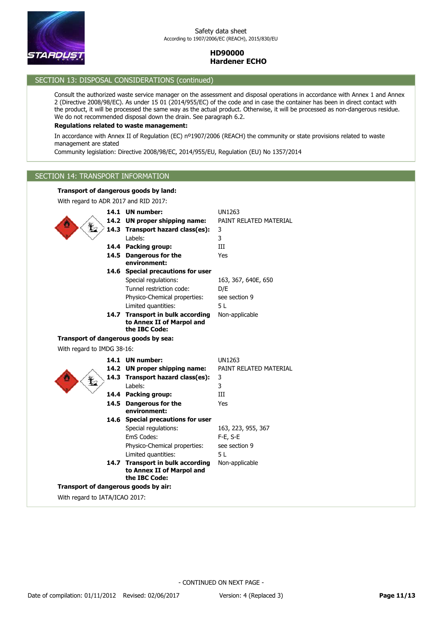

# SECTION 13: DISPOSAL CONSIDERATIONS (continued)

Consult the authorized waste service manager on the assessment and disposal operations in accordance with Annex 1 and Annex 2 (Directive 2008/98/EC). As under 15 01 (2014/955/EC) of the code and in case the container has been in direct contact with the product, it will be processed the same way as the actual product. Otherwise, it will be processed as non-dangerous residue. We do not recommended disposal down the drain. See paragraph 6.2.

# **Regulations related to waste management:**

In accordance with Annex II of Regulation (EC) nº1907/2006 (REACH) the community or state provisions related to waste management are stated

Community legislation: Directive 2008/98/EC, 2014/955/EU, Regulation (EU) No 1357/2014

# SECTION 14: TRANSPORT INFORMATION

# **Transport of dangerous goods by land:**

With regard to ADR 2017 and RID 2017:

|                            | 14.1 UN number:<br>14.2 UN proper shipping name:<br>14.3 Transport hazard class(es):<br>Labels:<br>14.4 Packing group:<br>14.5 Dangerous for the<br>environment: | <b>UN1263</b><br>PAINT RELATED MATERIAL<br>3<br>3<br>III<br>Yes |
|----------------------------|------------------------------------------------------------------------------------------------------------------------------------------------------------------|-----------------------------------------------------------------|
|                            | 14.6 Special precautions for user<br>Special regulations:<br>Tunnel restriction code:<br>Physico-Chemical properties:<br>Limited quantities:                     | 163, 367, 640E, 650<br>D/E<br>see section 9<br>5L               |
|                            | 14.7 Transport in bulk according<br>to Annex II of Marpol and<br>the IBC Code:                                                                                   | Non-applicable                                                  |
|                            | Transport of dangerous goods by sea:                                                                                                                             |                                                                 |
| With regard to IMDG 38-16: |                                                                                                                                                                  |                                                                 |
|                            | 14.1 UN number:<br>14.2 UN proper shipping name:<br>14.3 Transport hazard class(es):                                                                             | <b>UN1263</b><br>PAINT RELATED MATERIAL<br>3                    |
|                            | Labels:<br>14.4 Packing group:                                                                                                                                   | 3<br>III                                                        |
|                            | 14.5 Dangerous for the                                                                                                                                           | Yes                                                             |
|                            | environment:<br>14.6 Special precautions for user<br>Special regulations:<br>EmS Codes:<br>Physico-Chemical properties:                                          | 163, 223, 955, 367<br>$F-E$ , S-E<br>see section 9              |
|                            | Limited quantities:<br>14.7 Transport in bulk according<br>to Annex II of Marpol and<br>the IBC Code:                                                            | 5L<br>Non-applicable                                            |
|                            | Transport of dangerous goods by air:                                                                                                                             |                                                                 |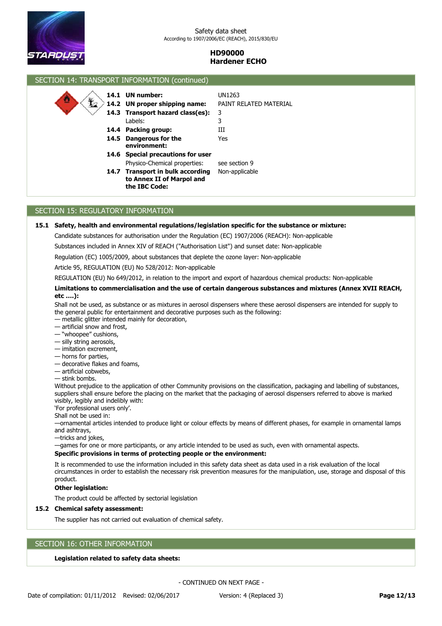

# SECTION 14: TRANSPORT INFORMATION (continued) **14.6 Special precautions for user 14.4 Packing group:** III **14.3 Transport hazard class(es):** 3 **14.2 UN proper shipping name:** PAINT RELATED MATERIAL **14.1 UN number:** UN1263 Physico-Chemical properties: see section 9 Labels: 3 **Dangerous for the 14.5** Yes **environment: Transport in bulk according 14.7** Non-applicable **to Annex II of Marpol and the IBC Code:**

# SECTION 15: REGULATORY INFORMATION

## **15.1 Safety, health and environmental regulations/legislation specific for the substance or mixture:**

Candidate substances for authorisation under the Regulation (EC) 1907/2006 (REACH): Non-applicable

Substances included in Annex XIV of REACH ("Authorisation List") and sunset date: Non-applicable

Regulation (EC) 1005/2009, about substances that deplete the ozone layer: Non-applicable

Article 95, REGULATION (EU) No 528/2012: Non-applicable

REGULATION (EU) No 649/2012, in relation to the import and export of hazardous chemical products: Non-applicable

### **Limitations to commercialisation and the use of certain dangerous substances and mixtures (Annex XVII REACH, etc ….):**

Shall not be used, as substance or as mixtures in aerosol dispensers where these aerosol dispensers are intended for supply to the general public for entertainment and decorative purposes such as the following:

- metallic glitter intended mainly for decoration,
- artificial snow and frost,
- "whoopee" cushions,
- silly string aerosols,
- imitation excrement,
- horns for parties,
- decorative flakes and foams,
- artificial cobwebs,

— stink bombs.

Without prejudice to the application of other Community provisions on the classification, packaging and labelling of substances, suppliers shall ensure before the placing on the market that the packaging of aerosol dispensers referred to above is marked visibly, legibly and indelibly with:

'For professional users only'.

Shall not be used in:

—ornamental articles intended to produce light or colour effects by means of different phases, for example in ornamental lamps and ashtrays,

—tricks and jokes,

—games for one or more participants, or any article intended to be used as such, even with ornamental aspects.

#### **Specific provisions in terms of protecting people or the environment:**

It is recommended to use the information included in this safety data sheet as data used in a risk evaluation of the local circumstances in order to establish the necessary risk prevention measures for the manipulation, use, storage and disposal of this product.

#### **Other legislation:**

The product could be affected by sectorial legislation

# **15.2 Chemical safety assessment:**

The supplier has not carried out evaluation of chemical safety.

# SECTION 16: OTHER INFORMATION

## **Legislation related to safety data sheets:**